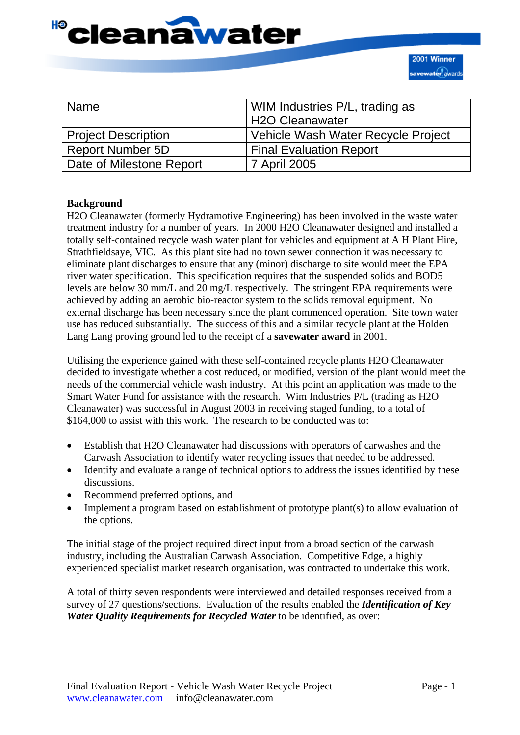

| <b>Name</b>                | WIM Industries P/L, trading as<br>H2O Cleanawater |
|----------------------------|---------------------------------------------------|
| <b>Project Description</b> | Vehicle Wash Water Recycle Project                |
| <b>Report Number 5D</b>    | <b>Final Evaluation Report</b>                    |
| Date of Milestone Report   | 7 April 2005                                      |

#### **Background**

H2O Cleanawater (formerly Hydramotive Engineering) has been involved in the waste water treatment industry for a number of years. In 2000 H2O Cleanawater designed and installed a totally self-contained recycle wash water plant for vehicles and equipment at A H Plant Hire, Strathfieldsaye, VIC. As this plant site had no town sewer connection it was necessary to eliminate plant discharges to ensure that any (minor) discharge to site would meet the EPA river water specification. This specification requires that the suspended solids and BOD5 levels are below 30 mm/L and 20 mg/L respectively. The stringent EPA requirements were achieved by adding an aerobic bio-reactor system to the solids removal equipment. No external discharge has been necessary since the plant commenced operation. Site town water use has reduced substantially. The success of this and a similar recycle plant at the Holden Lang Lang proving ground led to the receipt of a **savewater award** in 2001.

Utilising the experience gained with these self-contained recycle plants H2O Cleanawater decided to investigate whether a cost reduced, or modified, version of the plant would meet the needs of the commercial vehicle wash industry. At this point an application was made to the Smart Water Fund for assistance with the research. Wim Industries P/L (trading as H2O Cleanawater) was successful in August 2003 in receiving staged funding, to a total of \$164,000 to assist with this work. The research to be conducted was to:

- Establish that H2O Cleanawater had discussions with operators of carwashes and the Carwash Association to identify water recycling issues that needed to be addressed.
- Identify and evaluate a range of technical options to address the issues identified by these discussions.
- Recommend preferred options, and
- Implement a program based on establishment of prototype plant(s) to allow evaluation of the options.

The initial stage of the project required direct input from a broad section of the carwash industry, including the Australian Carwash Association. Competitive Edge, a highly experienced specialist market research organisation, was contracted to undertake this work.

A total of thirty seven respondents were interviewed and detailed responses received from a survey of 27 questions/sections. Evaluation of the results enabled the *Identification of Key Water Quality Requirements for Recycled Water* to be identified, as over: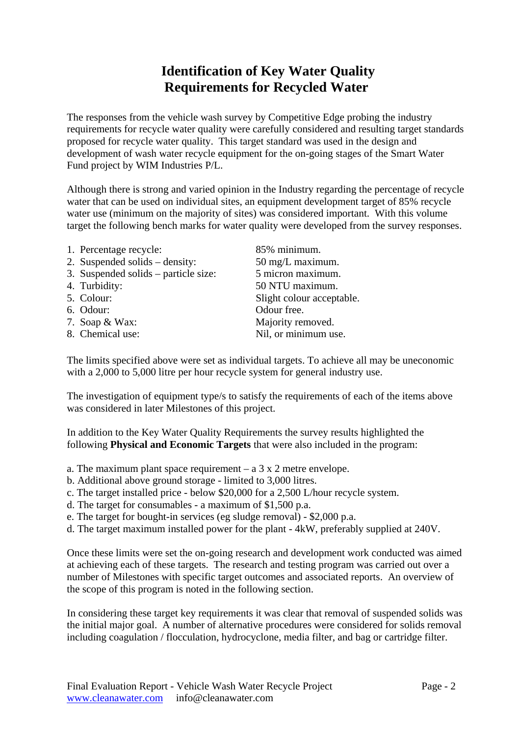# **Identification of Key Water Quality Requirements for Recycled Water**

The responses from the vehicle wash survey by Competitive Edge probing the industry requirements for recycle water quality were carefully considered and resulting target standards proposed for recycle water quality. This target standard was used in the design and development of wash water recycle equipment for the on-going stages of the Smart Water Fund project by WIM Industries P/L.

Although there is strong and varied opinion in the Industry regarding the percentage of recycle water that can be used on individual sites, an equipment development target of 85% recycle water use (minimum on the majority of sites) was considered important. With this volume target the following bench marks for water quality were developed from the survey responses.

- 1. Percentage recycle: 85% minimum.
- 3. Suspended solids particle size: 5 micron maximum.
- 
- 
- 
- 
- 

2. Suspended solids – density: 50 mg/L maximum. 4. Turbidity: 50 NTU maximum. 5. Colour: Slight colour acceptable. 6. Odour: Odour free. 7. Soap & Wax: Majority removed. 8. Chemical use: Nil, or minimum use.

The limits specified above were set as individual targets. To achieve all may be uneconomic with a 2,000 to 5,000 litre per hour recycle system for general industry use.

The investigation of equipment type/s to satisfy the requirements of each of the items above was considered in later Milestones of this project.

In addition to the Key Water Quality Requirements the survey results highlighted the following **Physical and Economic Targets** that were also included in the program:

a. The maximum plant space requirement – a 3 x 2 metre envelope.

- b. Additional above ground storage limited to 3,000 litres.
- c. The target installed price below \$20,000 for a 2,500 L/hour recycle system.
- d. The target for consumables a maximum of \$1,500 p.a.
- e. The target for bought-in services (eg sludge removal) \$2,000 p.a.
- d. The target maximum installed power for the plant 4kW, preferably supplied at 240V.

Once these limits were set the on-going research and development work conducted was aimed at achieving each of these targets. The research and testing program was carried out over a number of Milestones with specific target outcomes and associated reports. An overview of the scope of this program is noted in the following section.

In considering these target key requirements it was clear that removal of suspended solids was the initial major goal. A number of alternative procedures were considered for solids removal including coagulation / flocculation, hydrocyclone, media filter, and bag or cartridge filter.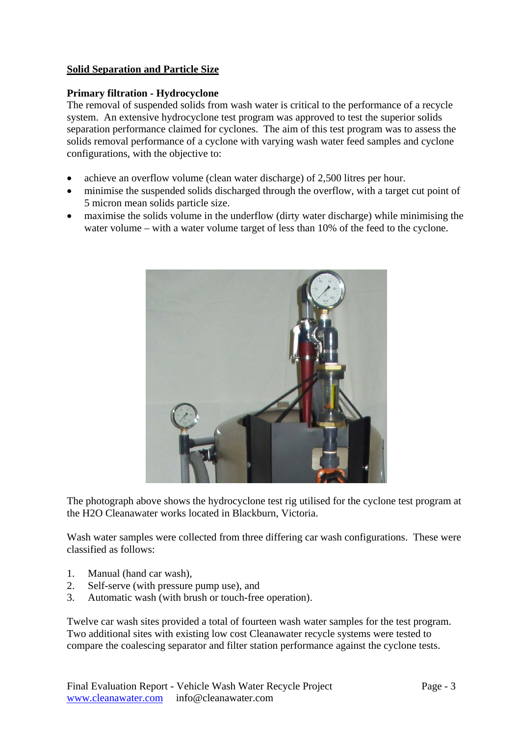# **Solid Separation and Particle Size**

# **Primary filtration - Hydrocyclone**

The removal of suspended solids from wash water is critical to the performance of a recycle system. An extensive hydrocyclone test program was approved to test the superior solids separation performance claimed for cyclones. The aim of this test program was to assess the solids removal performance of a cyclone with varying wash water feed samples and cyclone configurations, with the objective to:

- achieve an overflow volume (clean water discharge) of 2,500 litres per hour.
- minimise the suspended solids discharged through the overflow, with a target cut point of 5 micron mean solids particle size.
- maximise the solids volume in the underflow (dirty water discharge) while minimising the water volume – with a water volume target of less than 10% of the feed to the cyclone.



The photograph above shows the hydrocyclone test rig utilised for the cyclone test program at the H2O Cleanawater works located in Blackburn, Victoria.

Wash water samples were collected from three differing car wash configurations. These were classified as follows:

- 1. Manual (hand car wash),
- 2. Self-serve (with pressure pump use), and
- 3. Automatic wash (with brush or touch-free operation).

Twelve car wash sites provided a total of fourteen wash water samples for the test program. Two additional sites with existing low cost Cleanawater recycle systems were tested to compare the coalescing separator and filter station performance against the cyclone tests.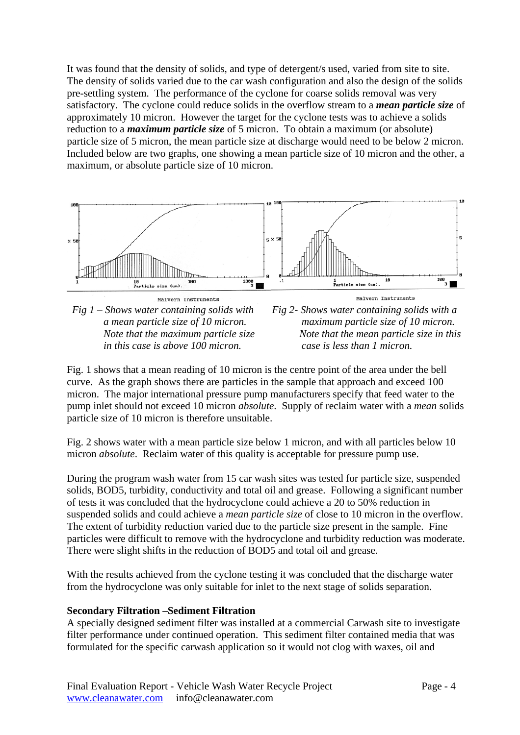It was found that the density of solids, and type of detergent/s used, varied from site to site. The density of solids varied due to the car wash configuration and also the design of the solids pre-settling system. The performance of the cyclone for coarse solids removal was very satisfactory. The cyclone could reduce solids in the overflow stream to a *mean particle size* of approximately 10 micron. However the target for the cyclone tests was to achieve a solids reduction to a *maximum particle size* of 5 micron. To obtain a maximum (or absolute) particle size of 5 micron, the mean particle size at discharge would need to be below 2 micron. Included below are two graphs, one showing a mean particle size of 10 micron and the other, a maximum, or absolute particle size of 10 micron.



Fig. 1 shows that a mean reading of 10 micron is the centre point of the area under the bell curve. As the graph shows there are particles in the sample that approach and exceed 100 micron. The major international pressure pump manufacturers specify that feed water to the pump inlet should not exceed 10 micron *absolute*. Supply of reclaim water with a *mean* solids particle size of 10 micron is therefore unsuitable.

Fig. 2 shows water with a mean particle size below 1 micron, and with all particles below 10 micron *absolute*. Reclaim water of this quality is acceptable for pressure pump use.

During the program wash water from 15 car wash sites was tested for particle size, suspended solids, BOD5, turbidity, conductivity and total oil and grease. Following a significant number of tests it was concluded that the hydrocyclone could achieve a 20 to 50% reduction in suspended solids and could achieve a *mean particle size* of close to 10 micron in the overflow. The extent of turbidity reduction varied due to the particle size present in the sample. Fine particles were difficult to remove with the hydrocyclone and turbidity reduction was moderate. There were slight shifts in the reduction of BOD5 and total oil and grease.

With the results achieved from the cyclone testing it was concluded that the discharge water from the hydrocyclone was only suitable for inlet to the next stage of solids separation.

# **Secondary Filtration –Sediment Filtration**

A specially designed sediment filter was installed at a commercial Carwash site to investigate filter performance under continued operation. This sediment filter contained media that was formulated for the specific carwash application so it would not clog with waxes, oil and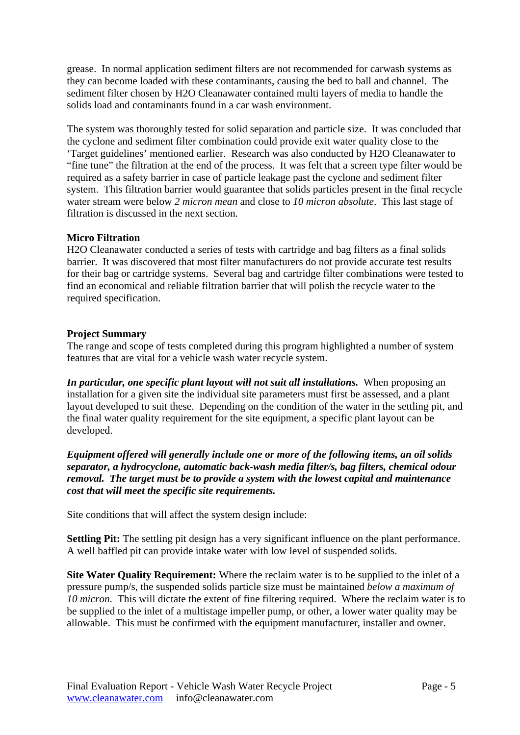grease. In normal application sediment filters are not recommended for carwash systems as they can become loaded with these contaminants, causing the bed to ball and channel. The sediment filter chosen by H2O Cleanawater contained multi layers of media to handle the solids load and contaminants found in a car wash environment.

The system was thoroughly tested for solid separation and particle size. It was concluded that the cyclone and sediment filter combination could provide exit water quality close to the 'Target guidelines' mentioned earlier. Research was also conducted by H2O Cleanawater to "fine tune" the filtration at the end of the process. It was felt that a screen type filter would be required as a safety barrier in case of particle leakage past the cyclone and sediment filter system. This filtration barrier would guarantee that solids particles present in the final recycle water stream were below *2 micron mean* and close to *10 micron absolute*. This last stage of filtration is discussed in the next section.

# **Micro Filtration**

H2O Cleanawater conducted a series of tests with cartridge and bag filters as a final solids barrier. It was discovered that most filter manufacturers do not provide accurate test results for their bag or cartridge systems. Several bag and cartridge filter combinations were tested to find an economical and reliable filtration barrier that will polish the recycle water to the required specification.

# **Project Summary**

The range and scope of tests completed during this program highlighted a number of system features that are vital for a vehicle wash water recycle system.

*In particular, one specific plant layout will not suit all installations.* When proposing an installation for a given site the individual site parameters must first be assessed, and a plant layout developed to suit these. Depending on the condition of the water in the settling pit, and the final water quality requirement for the site equipment, a specific plant layout can be developed.

*Equipment offered will generally include one or more of the following items, an oil solids separator, a hydrocyclone, automatic back-wash media filter/s, bag filters, chemical odour removal. The target must be to provide a system with the lowest capital and maintenance cost that will meet the specific site requirements.* 

Site conditions that will affect the system design include:

**Settling Pit:** The settling pit design has a very significant influence on the plant performance. A well baffled pit can provide intake water with low level of suspended solids.

**Site Water Quality Requirement:** Where the reclaim water is to be supplied to the inlet of a pressure pump/s, the suspended solids particle size must be maintained *below a maximum of 10 micron*. This will dictate the extent of fine filtering required. Where the reclaim water is to be supplied to the inlet of a multistage impeller pump, or other, a lower water quality may be allowable. This must be confirmed with the equipment manufacturer, installer and owner.